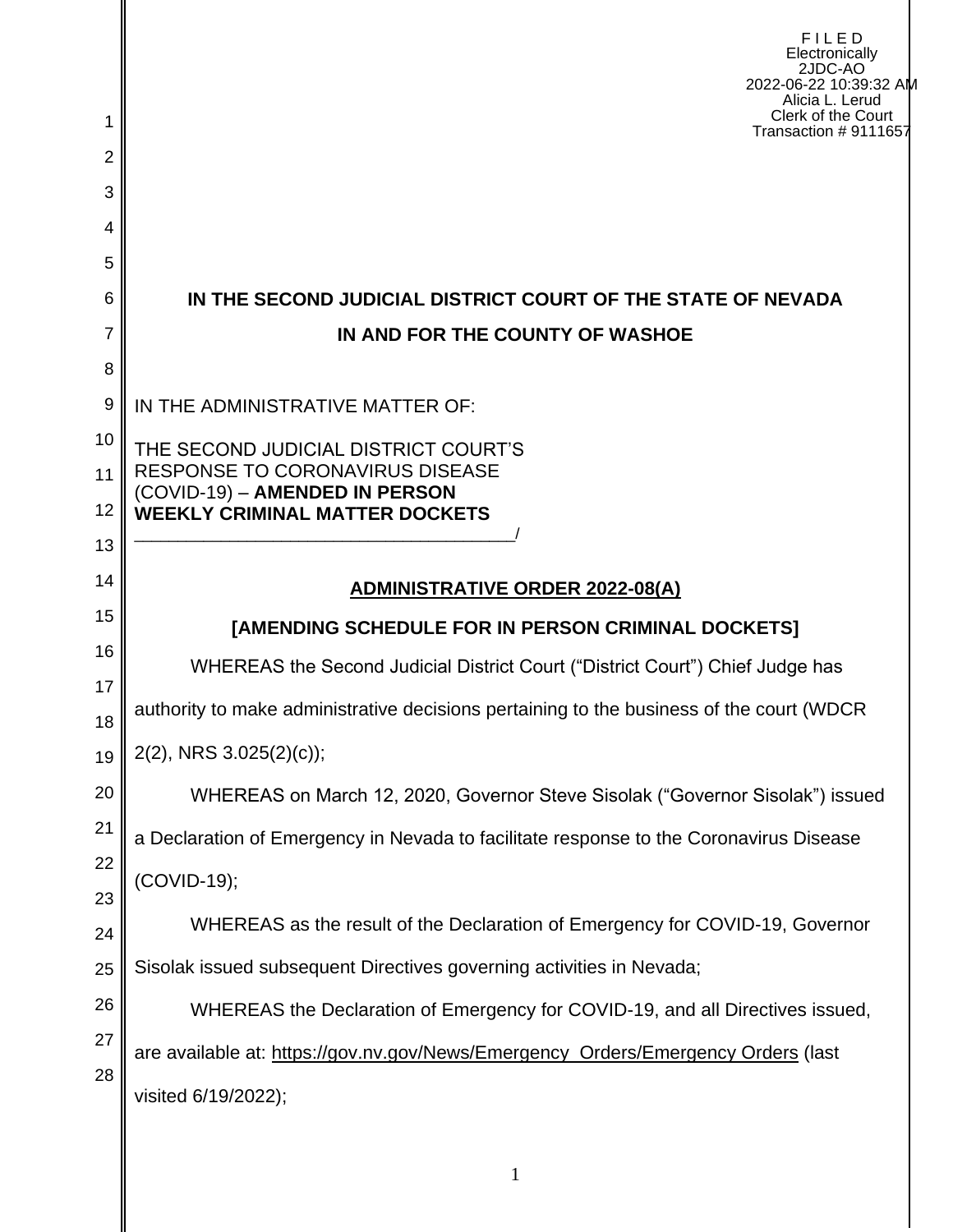|                     | FILED<br>Electronically<br>2JDC-AO<br>2022-06-22 10:39:32 AM<br>Alicia L. Lerud<br>Clerk of the Court |
|---------------------|-------------------------------------------------------------------------------------------------------|
| 1                   | Transaction #9111657                                                                                  |
| $\overline{2}$<br>3 |                                                                                                       |
| 4                   |                                                                                                       |
| 5                   |                                                                                                       |
| 6                   | IN THE SECOND JUDICIAL DISTRICT COURT OF THE STATE OF NEVADA                                          |
| 7                   | IN AND FOR THE COUNTY OF WASHOE                                                                       |
| 8                   |                                                                                                       |
| 9                   | IN THE ADMINISTRATIVE MATTER OF:                                                                      |
| 10                  | THE SECOND JUDICIAL DISTRICT COURT'S<br><b>RESPONSE TO CORONAVIRUS DISEASE</b>                        |
| 11                  | (COVID-19) - AMENDED IN PERSON                                                                        |
| 12<br>13            | <b>WEEKLY CRIMINAL MATTER DOCKETS</b>                                                                 |
| 14                  |                                                                                                       |
| 15                  | <b>ADMINISTRATIVE ORDER 2022-08(A)</b>                                                                |
| 16                  | [AMENDING SCHEDULE FOR IN PERSON CRIMINAL DOCKETS]                                                    |
| 17                  | WHEREAS the Second Judicial District Court ("District Court") Chief Judge has                         |
| 18                  | authority to make administrative decisions pertaining to the business of the court (WDCR              |
| 19                  | 2(2), NRS 3.025(2)(c));                                                                               |
| 20                  | WHEREAS on March 12, 2020, Governor Steve Sisolak ("Governor Sisolak") issued                         |
| 21                  | a Declaration of Emergency in Nevada to facilitate response to the Coronavirus Disease                |
| 22                  | (COVID-19);                                                                                           |
| 23<br>24            | WHEREAS as the result of the Declaration of Emergency for COVID-19, Governor                          |
| 25                  | Sisolak issued subsequent Directives governing activities in Nevada;                                  |
| 26                  | WHEREAS the Declaration of Emergency for COVID-19, and all Directives issued,                         |
| 27                  | are available at: https://gov.nv.gov/News/Emergency_Orders/Emergency Orders (last                     |
| 28                  | visited 6/19/2022);                                                                                   |
|                     |                                                                                                       |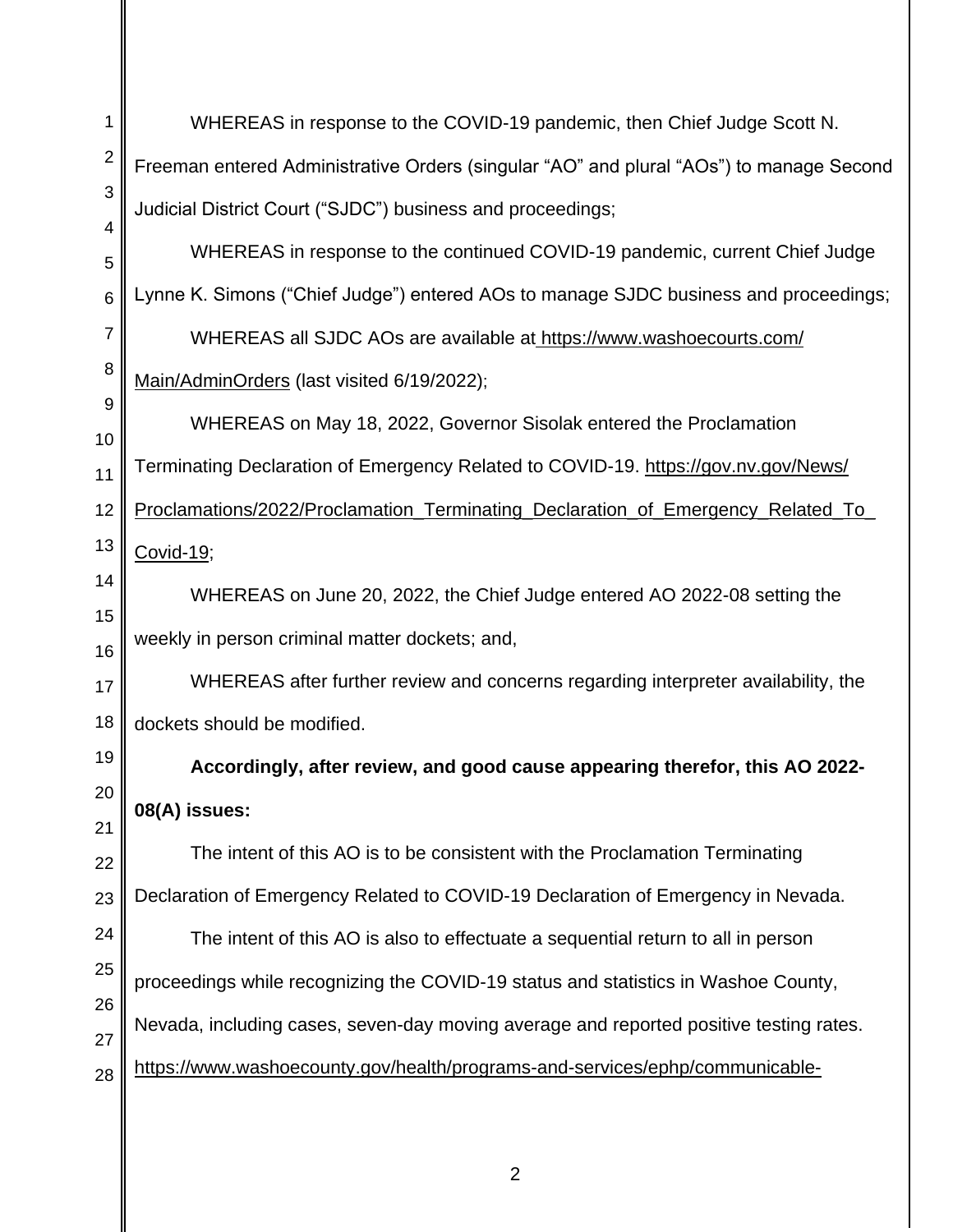| 1               | WHEREAS in response to the COVID-19 pandemic, then Chief Judge Scott N.                 |  |  |  |  |  |
|-----------------|-----------------------------------------------------------------------------------------|--|--|--|--|--|
| $\overline{2}$  | Freeman entered Administrative Orders (singular "AO" and plural "AOs") to manage Second |  |  |  |  |  |
| 3               | Judicial District Court ("SJDC") business and proceedings;                              |  |  |  |  |  |
| 4<br>5          | WHEREAS in response to the continued COVID-19 pandemic, current Chief Judge             |  |  |  |  |  |
| $6\phantom{1}6$ | Lynne K. Simons ("Chief Judge") entered AOs to manage SJDC business and proceedings;    |  |  |  |  |  |
| $\overline{7}$  | WHEREAS all SJDC AOs are available at https://www.washoecourts.com/                     |  |  |  |  |  |
| 8               | Main/AdminOrders (last visited 6/19/2022);                                              |  |  |  |  |  |
| 9               | WHEREAS on May 18, 2022, Governor Sisolak entered the Proclamation                      |  |  |  |  |  |
| 10<br>11        | Terminating Declaration of Emergency Related to COVID-19. https://gov.nv.gov/News/      |  |  |  |  |  |
| 12              | Proclamations/2022/Proclamation_Terminating_Declaration_of_Emergency_Related_To_        |  |  |  |  |  |
| 13              | Covid-19;                                                                               |  |  |  |  |  |
| 14              | WHEREAS on June 20, 2022, the Chief Judge entered AO 2022-08 setting the                |  |  |  |  |  |
| 15              | weekly in person criminal matter dockets; and,                                          |  |  |  |  |  |
| 16<br>17        | WHEREAS after further review and concerns regarding interpreter availability, the       |  |  |  |  |  |
| 18              | dockets should be modified.                                                             |  |  |  |  |  |
| 19              | Accordingly, after review, and good cause appearing therefor, this AO 2022-             |  |  |  |  |  |
| 20              | 08(A) issues:                                                                           |  |  |  |  |  |
| 21              | The intent of this AO is to be consistent with the Proclamation Terminating             |  |  |  |  |  |
| 22<br>23        | Declaration of Emergency Related to COVID-19 Declaration of Emergency in Nevada.        |  |  |  |  |  |
| 24              | The intent of this AO is also to effectuate a sequential return to all in person        |  |  |  |  |  |
| 25              | proceedings while recognizing the COVID-19 status and statistics in Washoe County,      |  |  |  |  |  |
| 26              |                                                                                         |  |  |  |  |  |
| 27              | Nevada, including cases, seven-day moving average and reported positive testing rates.  |  |  |  |  |  |
| 28              | https://www.washoecounty.gov/health/programs-and-services/ephp/communicable-            |  |  |  |  |  |

2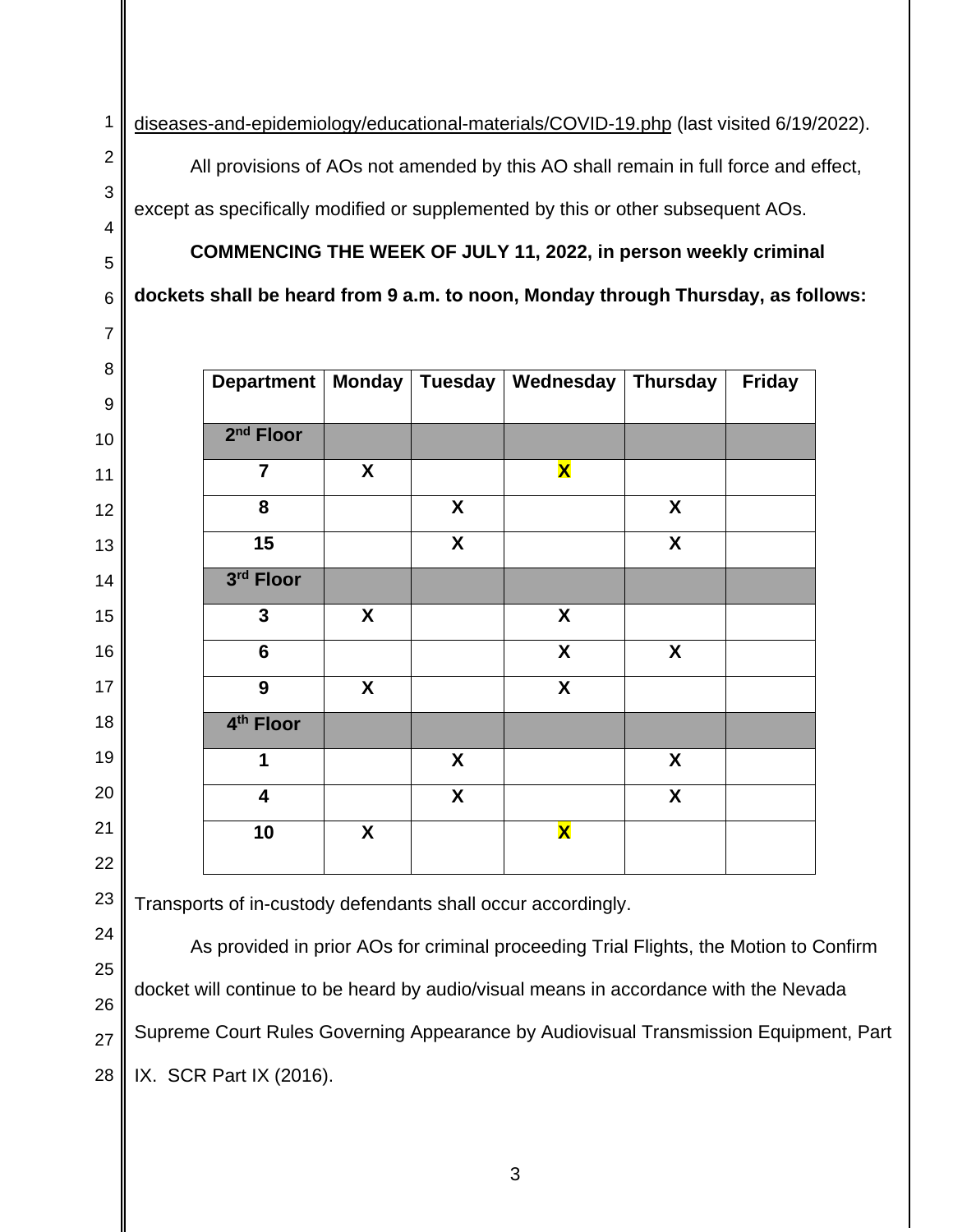[diseases-and-epidemiology/educational-materials/COVID-19.php](https://www.washoecounty.gov/health/programs-and-services/ephp/communicable-%20diseases-and-epidemiology/educational-materials/COVID-19.php) (last visited 6/19/2022).

All provisions of AOs not amended by this AO shall remain in full force and effect,

except as specifically modified or supplemented by this or other subsequent AOs.

## **COMMENCING THE WEEK OF JULY 11, 2022, in person weekly criminal**

**dockets shall be heard from 9 a.m. to noon, Monday through Thursday, as follows:**

| Department   Monday     |   |   | Tuesday   Wednesday       | <b>Thursday</b>           | <b>Friday</b> |
|-------------------------|---|---|---------------------------|---------------------------|---------------|
| $2nd$ Floor             |   |   |                           |                           |               |
| $\overline{7}$          | X |   | $\overline{\textbf{X}}$   |                           |               |
| 8                       |   | X |                           | X                         |               |
| 15                      |   | X |                           | $\boldsymbol{\mathsf{X}}$ |               |
| 3rd Floor               |   |   |                           |                           |               |
| $\mathbf{3}$            | X |   | $\boldsymbol{\mathsf{X}}$ |                           |               |
| $6\phantom{1}$          |   |   | $\boldsymbol{\mathsf{X}}$ | X                         |               |
| 9                       | X |   | $\boldsymbol{\mathsf{X}}$ |                           |               |
| 4 <sup>th</sup> Floor   |   |   |                           |                           |               |
| 1                       |   | X |                           | X                         |               |
| $\overline{\mathbf{4}}$ |   | X |                           | X                         |               |
| 10                      | X |   | $\overline{\mathbf{X}}$   |                           |               |
|                         |   |   |                           |                           |               |

Transports of in-custody defendants shall occur accordingly.

As provided in prior AOs for criminal proceeding Trial Flights, the Motion to Confirm docket will continue to be heard by audio/visual means in accordance with the Nevada Supreme Court Rules Governing Appearance by Audiovisual Transmission Equipment, Part IX. SCR Part IX (2016).